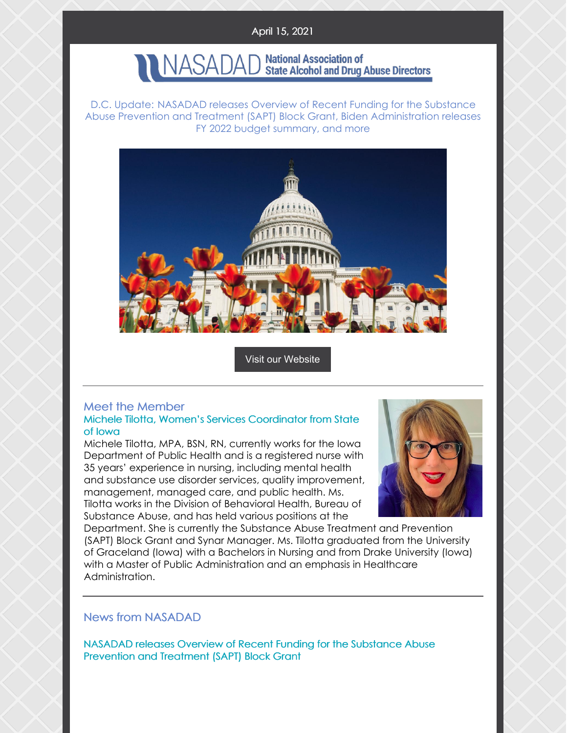## April 15, 2021

# NASADAD National Association of<br>NASADAD State Alcohol and Drug Abuse Directors

D.C. Update: NASADAD releases Overview of Recent Funding for the Substance Abuse Prevention and Treatment (SAPT) Block Grant, Biden Administration releases FY 2022 budget summary, and more



Visit our [Website](http://www.nasadad.org)

#### Meet the Member Michele Tilotta, Women's Services Coordinator from State of Iowa

Michele Tilotta, MPA, BSN, RN, currently works for the Iowa Department of Public Health and is a registered nurse with 35 years' experience in nursing, including mental health and substance use disorder services, quality improvement, management, managed care, and public health. Ms. Tilotta works in the Division of Behavioral Health, Bureau of Substance Abuse, and has held various positions at the



Department. She is currently the Substance Abuse Treatment and Prevention (SAPT) Block Grant and Synar Manager. Ms. Tilotta graduated from the University of Graceland (Iowa) with a Bachelors in Nursing and from Drake University (Iowa) with a Master of Public Administration and an emphasis in Healthcare Administration.

## News from NASADAD

NASADAD releases Overview of Recent Funding for the Substance Abuse Prevention and Treatment (SAPT) Block Grant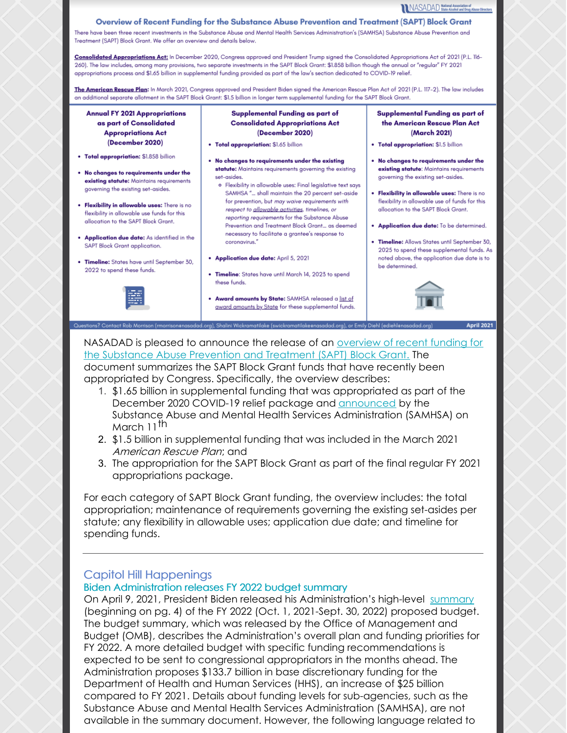NASADAD National Association of

#### Overview of Recent Funding for the Substance Abuse Prevention and Treatment (SAPT) Block Grant

There have been three recent investments in the Substance Abuse and Mental Health Services Administration's (SAMHSA) Substance Abuse Prevention and Treatment (SAPT) Block Grant. We offer an overview and details below.

Consolidated Appropriations Act: In December 2020, Congress approved and President Trump signed the Consolidated Appropriations Act of 2021 (P.L. 116-260). The law includes, among many provisions, two separate investments in the SAPT Block Grant: \$1.858 billion though the annual or "regular" FY 2021 appropriations process and \$1.65 billion in supplemental funding provided as part of the law's section dedicated to COVID-19 relief.

The American Rescue Plan: In March 2021, Congress approved and President Biden signed the American Rescue Plan Act of 2021 (P.L. 117-2). The law includes an additional separate allotment in the SAPT Block Grant: \$1.5 billion in longer term supplemental funding for the SAPT Block Grant.

**Annual FY 2021 Appropriations** as part of Consolidated **Appropriations Act** (December 2020)

- . Total appropriation: \$1.858 billion
- . No changes to requirements under the existing statute: Maintains requirements governing the existing set-asides.
- . Flexibility in allowable uses: There is no flexibility in allowable use funds for this allocation to the SAPT Block Grant.
- . Application due date: As identified in the SAPT Block Grant application.
- . Timeline: States have until September 30, 2022 to spend these funds.



#### Supplemental Funding as part of **Consolidated Appropriations Act** (December 2020)

- . Total appropriation: \$1.65 billion
- . No changes to requirements under the existing statute: Maintains requirements governing the existing set-asides.
	- · Flexibility in allowable uses: Final legislative text says SAMHSA "... shall maintain the 20 percent set-aside for prevention, but may waive requirements with respect to allowable activities, timelines, or reporting requirements for the Substance Abuse Prevention and Treatment Block Grant... as deemed necessary to facilitate a grantee's response to coronavirus."
- Application due date: April 5, 2021
- . Timeline: States have until March 14, 2023 to spend these funds.
- . Award amounts by State: SAMHSA released a list of award amounts by State for these supplemental funds.

enasadad.org), Shalini Wickramatilake (swickramatilakeenasadad.org), or Emily Diehl (ediehlen

#### **Supplemental Funding as part of** the American Rescue Plan Act (March 2021)

- . Total appropriation: \$1.5 billion
- . No changes to requirements under the existing statute: Maintains requirements governing the existing set-asides.
- . Flexibility in allowable uses: There is no flexibility in allowable use of funds for this allocation to the SAPT Block Grant.
- . Application due date: To be determined.
- . Timeline: Allows States until September 30, 2025 to spend these supplemental funds. As noted above, the application due date is to be determined.



#### NASADAD is pleased to announce the release of an overview of recent funding for the Substance Abuse [Prevention](https://nasadad.org/2021/04/overview-of-supplemental-sapt-bg-funding/) and Treatment (SAPT) Block Grant. The document summarizes the SAPT Block Grant funds that have recently been

appropriated by Congress. Specifically, the overview describes:

- 1. \$1.65 billion in supplemental funding that was appropriated as part of the December 2020 COVID-19 relief package and [announced](https://www.samhsa.gov/newsroom/press-announcements/202103110230) by the Substance Abuse and Mental Health Services Administration (SAMHSA) on March 11<sup>th</sup>
- 2. \$1.5 billion in supplemental funding that was included in the March 2021 American Rescue Plan; and
- 3. The appropriation for the SAPT Block Grant as part of the final regular FY 2021 appropriations package.

For each category of SAPT Block Grant funding, the overview includes: the total appropriation; maintenance of requirements governing the existing set-asides per statute; any flexibility in allowable uses; application due date; and timeline for spending funds.

## Capitol Hill Happenings

#### Biden Administration releases FY 2022 budget summary

On April 9, 2021, President Biden released his Administration's high-level [summary](https://www.whitehouse.gov/wp-content/uploads/2021/04/FY2022-Discretionary-Request.pdf) (beginning on pg. 4) of the FY 2022 (Oct. 1, 2021-Sept. 30, 2022) proposed budget. The budget summary, which was released by the Office of Management and Budget (OMB), describes the Administration's overall plan and funding priorities for FY 2022. A more detailed budget with specific funding recommendations is expected to be sent to congressional appropriators in the months ahead. The Administration proposes \$133.7 billion in base discretionary funding for the Department of Health and Human Services (HHS), an increase of \$25 billion compared to FY 2021. Details about funding levels for sub-agencies, such as the Substance Abuse and Mental Health Services Administration (SAMHSA), are not available in the summary document. However, the following language related to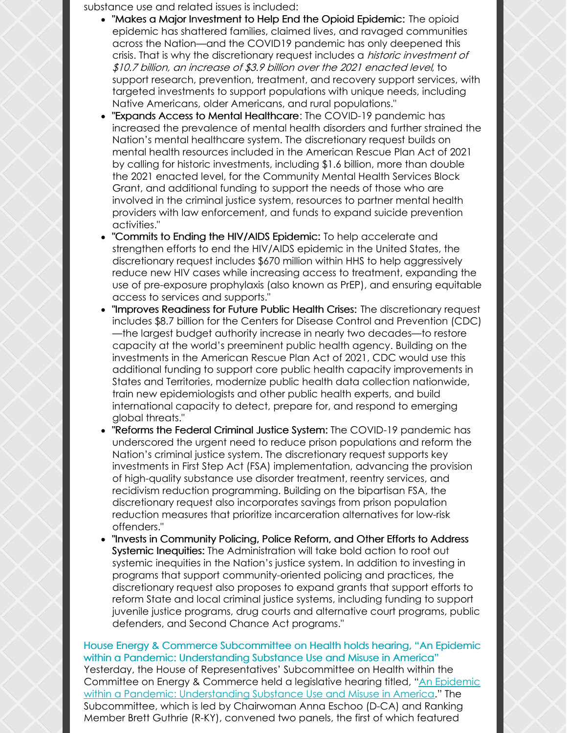substance use and related issues is included:

- "Makes a Major Investment to Help End the Opioid Epidemic: The opioid epidemic has shattered families, claimed lives, and ravaged communities across the Nation—and the COVID19 pandemic has only deepened this crisis. That is why the discretionary request includes a *historic investment of* \$10.7 billion, an increase of \$3.9 billion over the 2021 enacted level, to support research, prevention, treatment, and recovery support services, with targeted investments to support populations with unique needs, including Native Americans, older Americans, and rural populations."
- "Expands Access to Mental Healthcare: The COVID-19 pandemic has increased the prevalence of mental health disorders and further strained the Nation's mental healthcare system. The discretionary request builds on mental health resources included in the American Rescue Plan Act of 2021 by calling for historic investments, including \$1.6 billion, more than double the 2021 enacted level, for the Community Mental Health Services Block Grant, and additional funding to support the needs of those who are involved in the criminal justice system, resources to partner mental health providers with law enforcement, and funds to expand suicide prevention activities."
- "Commits to Ending the HIV/AIDS Epidemic: To help accelerate and strengthen efforts to end the HIV/AIDS epidemic in the United States, the discretionary request includes \$670 million within HHS to help aggressively reduce new HIV cases while increasing access to treatment, expanding the use of pre-exposure prophylaxis (also known as PrEP), and ensuring equitable access to services and supports."
- "Improves Readiness for Future Public Health Crises: The discretionary request includes \$8.7 billion for the Centers for Disease Control and Prevention (CDC) —the largest budget authority increase in nearly two decades—to restore capacity at the world's preeminent public health agency. Building on the investments in the American Rescue Plan Act of 2021, CDC would use this additional funding to support core public health capacity improvements in States and Territories, modernize public health data collection nationwide, train new epidemiologists and other public health experts, and build international capacity to detect, prepare for, and respond to emerging global threats."
- "Reforms the Federal Criminal Justice System: The COVID-19 pandemic has underscored the urgent need to reduce prison populations and reform the Nation's criminal justice system. The discretionary request supports key investments in First Step Act (FSA) implementation, advancing the provision of high-quality substance use disorder treatment, reentry services, and recidivism reduction programming. Building on the bipartisan FSA, the discretionary request also incorporates savings from prison population reduction measures that prioritize incarceration alternatives for low-risk offenders."
- "Invests in Community Policing, Police Reform, and Other Efforts to Address Systemic Inequities: The Administration will take bold action to root out systemic inequities in the Nation's justice system. In addition to investing in programs that support community-oriented policing and practices, the discretionary request also proposes to expand grants that support efforts to reform State and local criminal justice systems, including funding to support juvenile justice programs, drug courts and alternative court programs, public defenders, and Second Chance Act programs."

House Energy & Commerce Subcommittee on Health holds hearing, "An Epidemic within a Pandemic: Understanding Substance Use and Misuse in America" Yesterday, the House of Representatives' Subcommittee on Health within the Committee on Energy & Commerce held a legislative hearing titled, "An Epidemic within a Pandemic: [Understanding](https://energycommerce.house.gov/committee-activity/hearings/hearing-on-an-epidemic-within-a-pandemic-understanding-substance-use-and) Substance Use and Misuse in America." The Subcommittee, which is led by Chairwoman Anna Eschoo (D-CA) and Ranking Member Brett Guthrie (R-KY), convened two panels, the first of which featured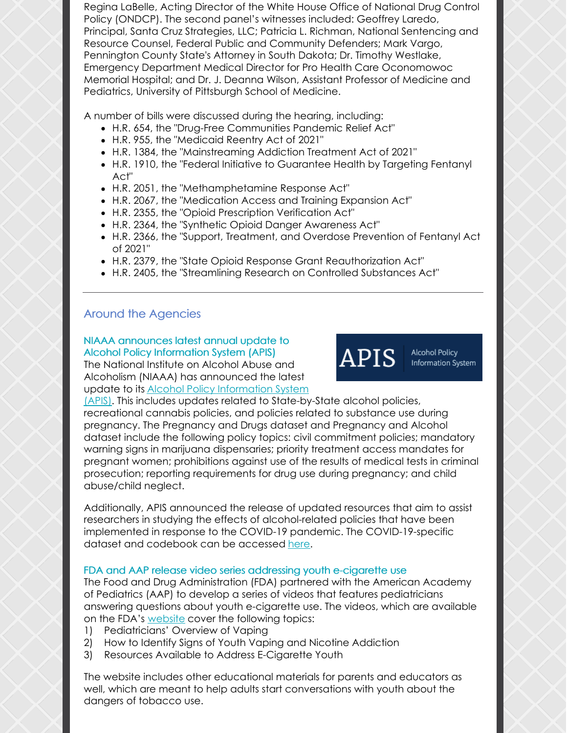Regina LaBelle, Acting Director of the White House Office of National Drug Control Policy (ONDCP). The second panel's witnesses included: Geoffrey Laredo, Principal, Santa Cruz Strategies, LLC; Patricia L. Richman, National Sentencing and Resource Counsel, Federal Public and Community Defenders; Mark Vargo, Pennington County State's Attorney in South Dakota; Dr. Timothy Westlake, Emergency Department Medical Director for Pro Health Care Oconomowoc Memorial Hospital; and Dr. J. Deanna Wilson, Assistant Professor of Medicine and Pediatrics, University of Pittsburgh School of Medicine.

A number of bills were discussed during the hearing, including:

- [H.R.](https://energycommerce.house.gov/sites/democrats.energycommerce.house.gov/files/documents/BILLS-117hr654ih.pdf) 654, the "Drug-Free Communities Pandemic Relief Act"
- [H.R.](http://docs.house.gov/meetings/IF/IF14/20210414/111439/BILLS-117955ih.pdf) 955, the "Medicaid Reentry Act of 2021"
- H.R. [1384](http://docs.house.gov/meetings/IF/IF14/20210414/111439/BILLS-1171384ih.pdf), the "Mainstreaming Addiction Treatment Act of 2021"
- H.R. [1910](http://docs.house.gov/meetings/IF/IF14/20210414/111439/BILLS-1171910ih.pdf), the "Federal Initiative to Guarantee Health by Targeting Fentanyl Act"
- H.R. [2051](http://docs.house.gov/meetings/IF/IF14/20210414/111439/BILLS-1172051ih.pdf), the "Methamphetamine Response Act"
- H.R. [2067](http://docs.house.gov/meetings/IF/IF14/20210414/111439/BILLS-1172067ih.pdf), the "Medication Access and Training Expansion Act"
- H.R. [2355](http://docs.house.gov/meetings/IF/IF14/20210414/111439/BILLS-1172355ih.pdf), the "Opioid Prescription Verification Act"
- H.R. [2364](http://docs.house.gov/meetings/IF/IF14/20210414/111439/BILLS-1172364ih.pdf), the "Synthetic Opioid Danger Awareness Act"
- H.R. [2366](http://docs.house.gov/meetings/IF/IF14/20210414/111439/BILLS-1172366ih.pdf), the "Support, Treatment, and Overdose Prevention of Fentanyl Act of 2021"
- H.R. [2379](https://energycommerce.house.gov/sites/democrats.energycommerce.house.gov/files/documents/BILLS-117hr__ih TRONE.pdf), the "State Opioid Response Grant Reauthorization Act"
- H.R. [2405](https://energycommerce.house.gov/sites/democrats.energycommerce.house.gov/files/documents/BILLS-117hr__ih GRIFFITH.pdf), the "Streamlining Research on Controlled Substances Act"

# Around the Agencies

# NIAAA announces latest annual update to Alcohol Policy Information System (APIS)

The National Institute on Alcohol Abuse and Alcoholism (NIAAA) has announced the latest update to its Alcohol Policy [Information](https://alcoholpolicy.niaaa.nih.gov/) System



Alcohol Policy Information System

(APIS). This includes updates related to State-by-State alcohol policies, recreational cannabis policies, and policies related to substance use during pregnancy. The Pregnancy and Drugs dataset and Pregnancy and Alcohol dataset include the following policy topics: civil commitment policies; mandatory warning signs in marijuana dispensaries; priority treatment access mandates for pregnant women; prohibitions against use of the results of medical tests in criminal prosecution; reporting requirements for drug use during pregnancy; and child abuse/child neglect.

Additionally, APIS announced the release of updated resources that aim to assist researchers in studying the effects of alcohol-related policies that have been implemented in response to the COVID-19 pandemic. The COVID-19-specific dataset and codebook can be accessed [here](https://alcoholpolicy.niaaa.nih.gov/resource/covid-19/98).

## FDA and AAP release video series addressing youth e-cigarette use

The Food and Drug Administration (FDA) partnered with the American Academy of Pediatrics (AAP) to develop a series of videos that features pediatricians answering questions about youth e-cigarette use. The videos, which are available on the FDA's [website](https://www.fda.gov/tobacco-products/public-health-education/tobacco-education-resources-parents-and-teachers?utm_source=CTPEblast&utm_medium=email&utm_term=stratout&utm_content=landingpage&utm_campaign=vapinged) cover the following topics:

- 1) Pediatricians' Overview of Vaping
- 2) How to Identify Signs of Youth Vaping and Nicotine Addiction
- 3) Resources Available to Address E-Cigarette Youth

The website includes other educational materials for parents and educators as well, which are meant to help adults start conversations with youth about the dangers of tobacco use.